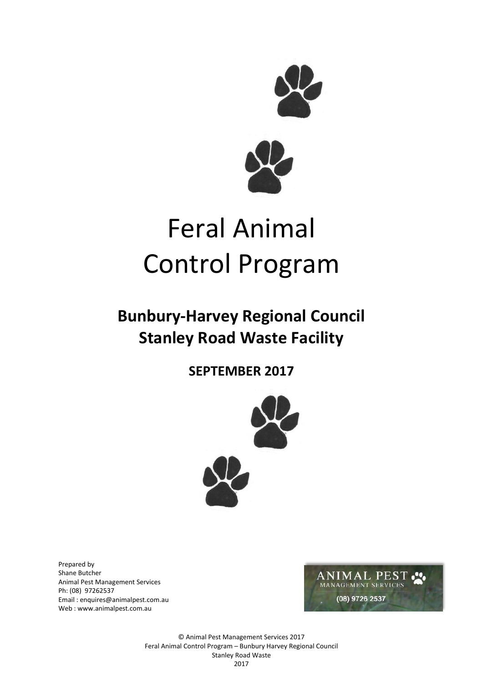

# Feral Animal Control Program

## **Bunbury-Harvey Regional Council Stanley Road Waste Facility**

### **SEPTEMBER 2017**



Prepared by Shane Butcher Animal Pest Management Services Ph: (08) 97262537 Email : enquires@animalpest.com.au Web [: www.animalpest.com.au](http://www.animalpest.com.au/)



© Animal Pest Management Services 2017 Feral Animal Control Program – Bunbury Harvey Regional Council Stanley Road Waste 2017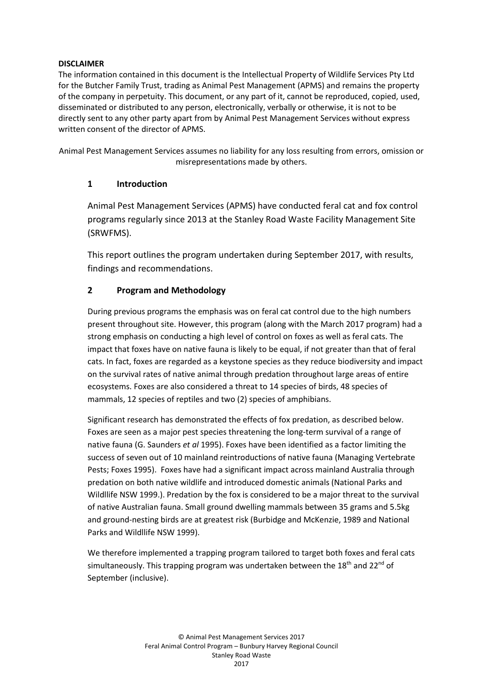#### **DISCLAIMER**

The information contained in this document is the Intellectual Property of Wildlife Services Pty Ltd for the Butcher Family Trust, trading as Animal Pest Management (APMS) and remains the property of the company in perpetuity. This document, or any part of it, cannot be reproduced, copied, used, disseminated or distributed to any person, electronically, verbally or otherwise, it is not to be directly sent to any other party apart from by Animal Pest Management Services without express written consent of the director of APMS.

Animal Pest Management Services assumes no liability for any loss resulting from errors, omission or misrepresentations made by others.

#### **1 Introduction**

Animal Pest Management Services (APMS) have conducted feral cat and fox control programs regularly since 2013 at the Stanley Road Waste Facility Management Site (SRWFMS).

This report outlines the program undertaken during September 2017, with results, findings and recommendations.

#### **2 Program and Methodology**

During previous programs the emphasis was on feral cat control due to the high numbers present throughout site. However, this program (along with the March 2017 program) had a strong emphasis on conducting a high level of control on foxes as well as feral cats. The impact that foxes have on native fauna is likely to be equal, if not greater than that of feral cats. In fact, foxes are regarded as a keystone species as they reduce biodiversity and impact on the survival rates of native animal through predation throughout large areas of entire ecosystems. Foxes are also considered a threat to 14 species of birds, 48 species of mammals, 12 species of reptiles and two (2) species of amphibians.

Significant research has demonstrated the effects of fox predation, as described below. Foxes are seen as a major pest species threatening the long-term survival of a range of native fauna (G. Saunders *et al* 1995). Foxes have been identified as a factor limiting the success of seven out of 10 mainland reintroductions of native fauna (Managing Vertebrate Pests; Foxes 1995). Foxes have had a significant impact across mainland Australia through predation on both native wildlife and introduced domestic animals (National Parks and Wildllife NSW 1999.). Predation by the fox is considered to be a major threat to the survival of native Australian fauna. Small ground dwelling mammals between 35 grams and 5.5kg and ground-nesting birds are at greatest risk (Burbidge and McKenzie, 1989 and National Parks and Wildllife NSW 1999).

We therefore implemented a trapping program tailored to target both foxes and feral cats simultaneously. This trapping program was undertaken between the 18<sup>th</sup> and 22<sup>nd</sup> of September (inclusive).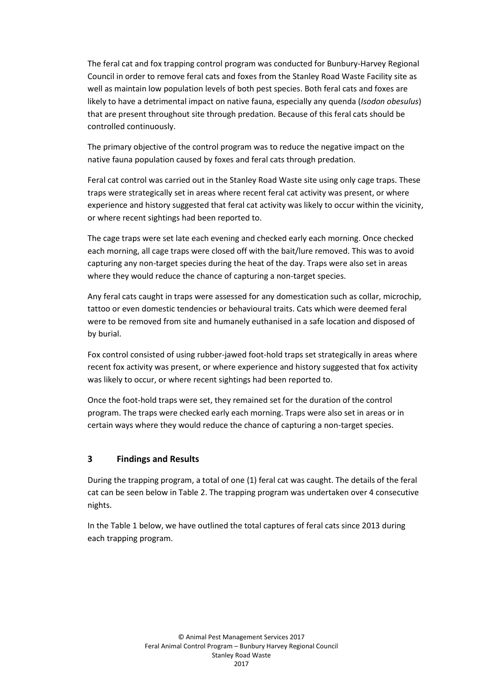The feral cat and fox trapping control program was conducted for Bunbury-Harvey Regional Council in order to remove feral cats and foxes from the Stanley Road Waste Facility site as well as maintain low population levels of both pest species. Both feral cats and foxes are likely to have a detrimental impact on native fauna, especially any quenda (*Isodon obesulus*) that are present throughout site through predation. Because of this feral cats should be controlled continuously.

The primary objective of the control program was to reduce the negative impact on the native fauna population caused by foxes and feral cats through predation.

Feral cat control was carried out in the Stanley Road Waste site using only cage traps. These traps were strategically set in areas where recent feral cat activity was present, or where experience and history suggested that feral cat activity was likely to occur within the vicinity, or where recent sightings had been reported to.

The cage traps were set late each evening and checked early each morning. Once checked each morning, all cage traps were closed off with the bait/lure removed. This was to avoid capturing any non-target species during the heat of the day. Traps were also set in areas where they would reduce the chance of capturing a non-target species.

Any feral cats caught in traps were assessed for any domestication such as collar, microchip, tattoo or even domestic tendencies or behavioural traits. Cats which were deemed feral were to be removed from site and humanely euthanised in a safe location and disposed of by burial.

Fox control consisted of using rubber-jawed foot-hold traps set strategically in areas where recent fox activity was present, or where experience and history suggested that fox activity was likely to occur, or where recent sightings had been reported to.

Once the foot-hold traps were set, they remained set for the duration of the control program. The traps were checked early each morning. Traps were also set in areas or in certain ways where they would reduce the chance of capturing a non-target species.

#### **3 Findings and Results**

During the trapping program, a total of one (1) feral cat was caught. The details of the feral cat can be seen below in Table 2. The trapping program was undertaken over 4 consecutive nights.

In the Table 1 below, we have outlined the total captures of feral cats since 2013 during each trapping program.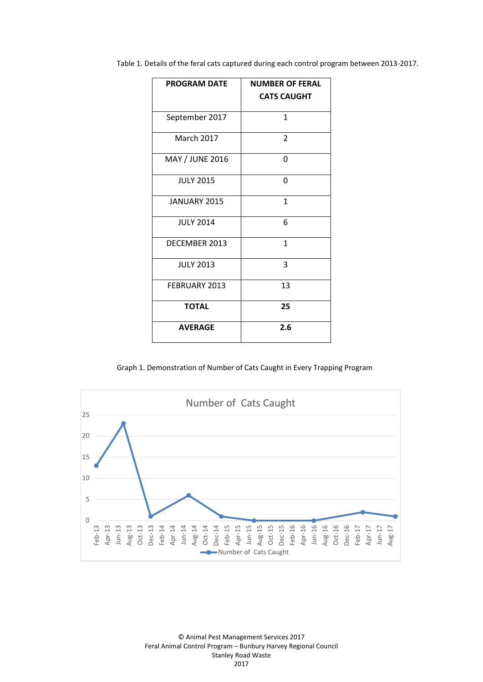Table 1. Details of the feral cats captured during each control program between 2013-2017.

| <b>PROGRAM DATE</b> | <b>NUMBER OF FERAL</b><br><b>CATS CAUGHT</b> |
|---------------------|----------------------------------------------|
| September 2017      | 1                                            |
| <b>March 2017</b>   | $\overline{2}$                               |
| MAY / JUNE 2016     | 0                                            |
| <b>JULY 2015</b>    | 0                                            |
| JANUARY 2015        | 1                                            |
| <b>JULY 2014</b>    | 6                                            |
| DECEMBER 2013       | 1                                            |
| <b>JULY 2013</b>    | 3                                            |
| FEBRUARY 2013       | 13                                           |
| <b>TOTAL</b>        | 25                                           |
| <b>AVERAGE</b>      | 2.6                                          |

Graph 1. Demonstration of Number of Cats Caught in Every Trapping Program



© Animal Pest Management Services 2017 Feral Animal Control Program – Bunbury Harvey Regional Council Stanley Road Waste 2017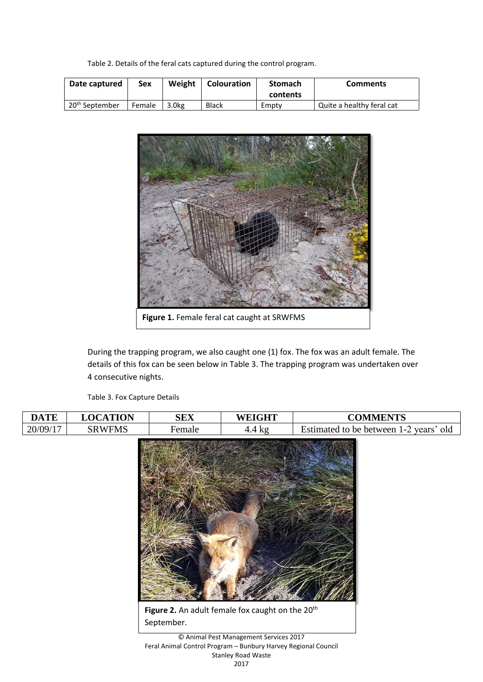Table 2. Details of the feral cats captured during the control program.

| Date captured              | Sex    | Weight | <b>Colouration</b> | <b>Stomach</b><br>contents | <b>Comments</b>           |
|----------------------------|--------|--------|--------------------|----------------------------|---------------------------|
| 20 <sup>th</sup> September | Female | 3.0kg  | Black              | Empty                      | Quite a healthy feral cat |



During the trapping program, we also caught one (1) fox. The fox was an adult female. The details of this fox can be seen below in Table 3. The trapping program was undertaken over 4 consecutive nights.

Table 3. Fox Capture Details

| <b>DATE</b> | <b>LOCATION</b>                                                                                                                       | <b>SEX</b>                                                                 | <b>WEIGHT</b>    | <b>COMMENTS</b>                        |
|-------------|---------------------------------------------------------------------------------------------------------------------------------------|----------------------------------------------------------------------------|------------------|----------------------------------------|
| 20/09/17    | <b>SRWFMS</b>                                                                                                                         | Female                                                                     | $4.4 \text{ kg}$ | Estimated to be between 1-2 years' old |
|             |                                                                                                                                       | Figure 2. An adult female fox caught on the 20 <sup>th</sup><br>September. |                  |                                        |
|             | © Animal Pest Management Services 2017<br>Feral Animal Control Program - Bunbury Harvey Regional Council<br><b>Stanley Road Waste</b> |                                                                            |                  |                                        |

2017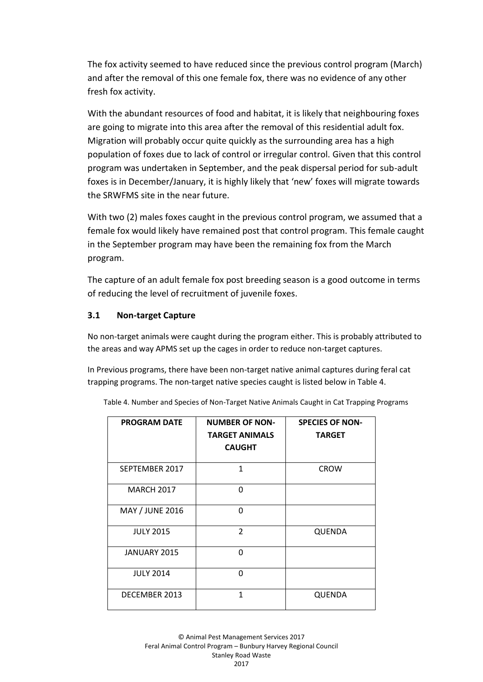The fox activity seemed to have reduced since the previous control program (March) and after the removal of this one female fox, there was no evidence of any other fresh fox activity.

With the abundant resources of food and habitat, it is likely that neighbouring foxes are going to migrate into this area after the removal of this residential adult fox. Migration will probably occur quite quickly as the surrounding area has a high population of foxes due to lack of control or irregular control. Given that this control program was undertaken in September, and the peak dispersal period for sub-adult foxes is in December/January, it is highly likely that 'new' foxes will migrate towards the SRWFMS site in the near future.

With two (2) males foxes caught in the previous control program, we assumed that a female fox would likely have remained post that control program. This female caught in the September program may have been the remaining fox from the March program.

The capture of an adult female fox post breeding season is a good outcome in terms of reducing the level of recruitment of juvenile foxes.

#### **3.1 Non-target Capture**

No non-target animals were caught during the program either. This is probably attributed to the areas and way APMS set up the cages in order to reduce non-target captures.

In Previous programs, there have been non-target native animal captures during feral cat trapping programs. The non-target native species caught is listed below in Table 4.

| <b>PROGRAM DATE</b>    | <b>NUMBER OF NON-</b><br><b>TARGET ANIMALS</b><br><b>CAUGHT</b> | <b>SPECIES OF NON-</b><br><b>TARGET</b> |
|------------------------|-----------------------------------------------------------------|-----------------------------------------|
| SEPTEMBER 2017         | $\mathbf{1}$                                                    | <b>CROW</b>                             |
| <b>MARCH 2017</b>      | $\Omega$                                                        |                                         |
| <b>MAY / JUNE 2016</b> | O                                                               |                                         |
| <b>JULY 2015</b>       | $\mathfrak{p}$                                                  | QUENDA                                  |
| <b>JANUARY 2015</b>    | U                                                               |                                         |
| <b>JULY 2014</b>       | ŋ                                                               |                                         |
| DECEMBER 2013          | 1                                                               | QUENDA                                  |

Table 4. Number and Species of Non-Target Native Animals Caught in Cat Trapping Programs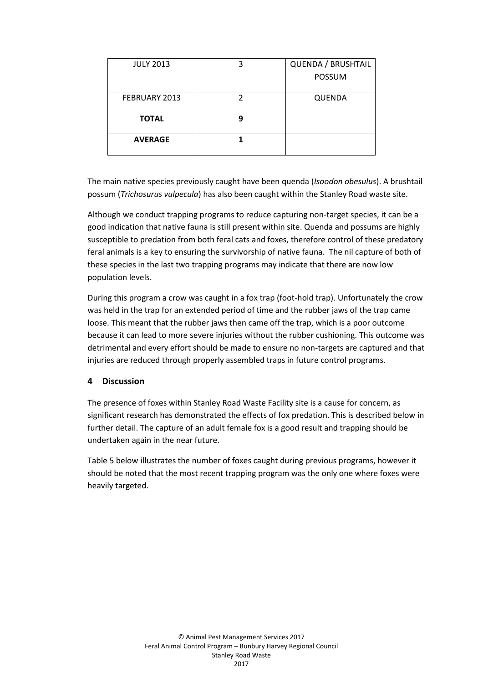| <b>JULY 2013</b> | 3 | QUENDA / BRUSHTAIL |
|------------------|---|--------------------|
|                  |   | <b>POSSUM</b>      |
| FEBRUARY 2013    |   | <b>QUENDA</b>      |
| <b>TOTAL</b>     |   |                    |
| <b>AVERAGE</b>   |   |                    |

The main native species previously caught have been quenda (*Isoodon obesulus*). A brushtail possum (*Trichosurus vulpecula*) has also been caught within the Stanley Road waste site.

Although we conduct trapping programs to reduce capturing non-target species, it can be a good indication that native fauna is still present within site. Quenda and possums are highly susceptible to predation from both feral cats and foxes, therefore control of these predatory feral animals is a key to ensuring the survivorship of native fauna. The nil capture of both of these species in the last two trapping programs may indicate that there are now low population levels.

During this program a crow was caught in a fox trap (foot-hold trap). Unfortunately the crow was held in the trap for an extended period of time and the rubber jaws of the trap came loose. This meant that the rubber jaws then came off the trap, which is a poor outcome because it can lead to more severe injuries without the rubber cushioning. This outcome was detrimental and every effort should be made to ensure no non-targets are captured and that injuries are reduced through properly assembled traps in future control programs.

#### **4 Discussion**

The presence of foxes within Stanley Road Waste Facility site is a cause for concern, as significant research has demonstrated the effects of fox predation. This is described below in further detail. The capture of an adult female fox is a good result and trapping should be undertaken again in the near future.

Table 5 below illustrates the number of foxes caught during previous programs, however it should be noted that the most recent trapping program was the only one where foxes were heavily targeted.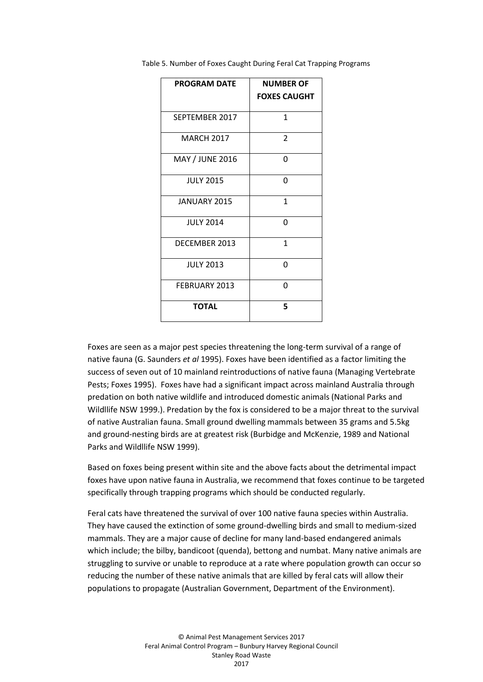| <b>PROGRAM DATE</b> | <b>NUMBER OF</b>    |  |
|---------------------|---------------------|--|
|                     | <b>FOXES CAUGHT</b> |  |
| SEPTEMBER 2017      | 1                   |  |
| <b>MARCH 2017</b>   | $\overline{2}$      |  |
| MAY / JUNE 2016     | O                   |  |
| <b>JULY 2015</b>    | 0                   |  |
| <b>JANUARY 2015</b> | $\mathbf{1}$        |  |
| <b>JULY 2014</b>    | 0                   |  |
| DECEMBER 2013       | $\mathbf{1}$        |  |
| <b>JULY 2013</b>    | O                   |  |
| FEBRUARY 2013       | ŋ                   |  |
| <b>TOTAL</b>        | 5                   |  |

Table 5. Number of Foxes Caught During Feral Cat Trapping Programs

Foxes are seen as a major pest species threatening the long-term survival of a range of native fauna (G. Saunders *et al* 1995). Foxes have been identified as a factor limiting the success of seven out of 10 mainland reintroductions of native fauna (Managing Vertebrate Pests; Foxes 1995). Foxes have had a significant impact across mainland Australia through predation on both native wildlife and introduced domestic animals (National Parks and Wildllife NSW 1999.). Predation by the fox is considered to be a major threat to the survival of native Australian fauna. Small ground dwelling mammals between 35 grams and 5.5kg and ground-nesting birds are at greatest risk (Burbidge and McKenzie, 1989 and National Parks and Wildllife NSW 1999).

Based on foxes being present within site and the above facts about the detrimental impact foxes have upon native fauna in Australia, we recommend that foxes continue to be targeted specifically through trapping programs which should be conducted regularly.

Feral cats have threatened the survival of over 100 native fauna species within Australia. They have caused the extinction of some ground-dwelling birds and small to medium-sized mammals. They are a major cause of decline for many land-based endangered animals which include; the bilby, bandicoot (quenda), bettong and numbat. Many native animals are struggling to survive or unable to reproduce at a rate where population growth can occur so reducing the number of these native animals that are killed by feral cats will allow their populations to propagate (Australian Government, Department of the Environment).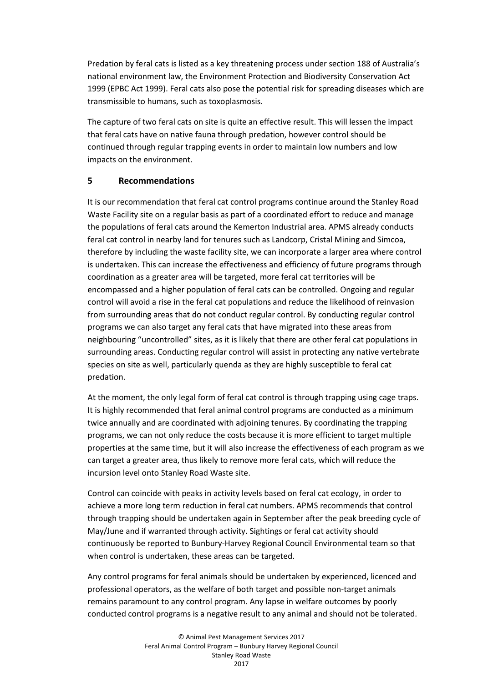Predation by feral cats is listed as a key threatening process under section 188 of Australia's national environment law, the Environment Protection and Biodiversity Conservation Act 1999 (EPBC Act 1999). Feral cats also pose the potential risk for spreading diseases which are transmissible to humans, such as toxoplasmosis.

The capture of two feral cats on site is quite an effective result. This will lessen the impact that feral cats have on native fauna through predation, however control should be continued through regular trapping events in order to maintain low numbers and low impacts on the environment.

#### **5 Recommendations**

It is our recommendation that feral cat control programs continue around the Stanley Road Waste Facility site on a regular basis as part of a coordinated effort to reduce and manage the populations of feral cats around the Kemerton Industrial area. APMS already conducts feral cat control in nearby land for tenures such as Landcorp, Cristal Mining and Simcoa, therefore by including the waste facility site, we can incorporate a larger area where control is undertaken. This can increase the effectiveness and efficiency of future programs through coordination as a greater area will be targeted, more feral cat territories will be encompassed and a higher population of feral cats can be controlled. Ongoing and regular control will avoid a rise in the feral cat populations and reduce the likelihood of reinvasion from surrounding areas that do not conduct regular control. By conducting regular control programs we can also target any feral cats that have migrated into these areas from neighbouring "uncontrolled" sites, as it is likely that there are other feral cat populations in surrounding areas. Conducting regular control will assist in protecting any native vertebrate species on site as well, particularly quenda as they are highly susceptible to feral cat predation.

At the moment, the only legal form of feral cat control is through trapping using cage traps. It is highly recommended that feral animal control programs are conducted as a minimum twice annually and are coordinated with adjoining tenures. By coordinating the trapping programs, we can not only reduce the costs because it is more efficient to target multiple properties at the same time, but it will also increase the effectiveness of each program as we can target a greater area, thus likely to remove more feral cats, which will reduce the incursion level onto Stanley Road Waste site.

Control can coincide with peaks in activity levels based on feral cat ecology, in order to achieve a more long term reduction in feral cat numbers. APMS recommends that control through trapping should be undertaken again in September after the peak breeding cycle of May/June and if warranted through activity. Sightings or feral cat activity should continuously be reported to Bunbury-Harvey Regional Council Environmental team so that when control is undertaken, these areas can be targeted.

Any control programs for feral animals should be undertaken by experienced, licenced and professional operators, as the welfare of both target and possible non-target animals remains paramount to any control program. Any lapse in welfare outcomes by poorly conducted control programs is a negative result to any animal and should not be tolerated.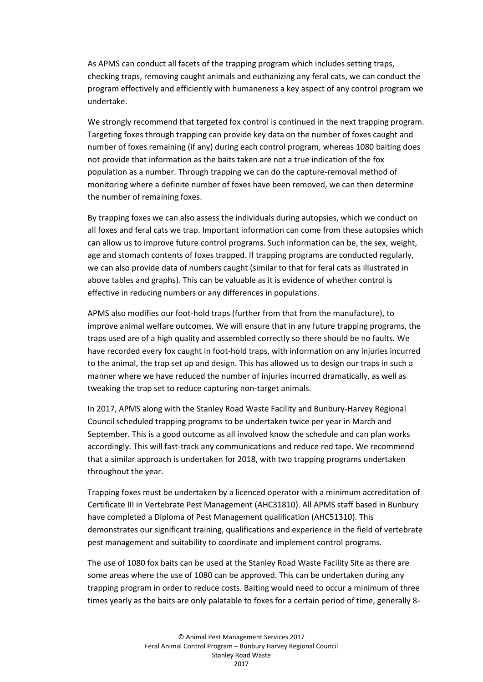As APMS can conduct all facets of the trapping program which includes setting traps, checking traps, removing caught animals and euthanizing any feral cats, we can conduct the program effectively and efficiently with humaneness a key aspect of any control program we undertake.

We strongly recommend that targeted fox control is continued in the next trapping program. Targeting foxes through trapping can provide key data on the number of foxes caught and number of foxes remaining (if any) during each control program, whereas 1080 baiting does not provide that information as the baits taken are not a true indication of the fox population as a number. Through trapping we can do the capture-removal method of monitoring where a definite number of foxes have been removed, we can then determine the number of remaining foxes.

By trapping foxes we can also assess the individuals during autopsies, which we conduct on all foxes and feral cats we trap. Important information can come from these autopsies which can allow us to improve future control programs. Such information can be, the sex, weight, age and stomach contents of foxes trapped. If trapping programs are conducted regularly, we can also provide data of numbers caught (similar to that for feral cats as illustrated in above tables and graphs). This can be valuable as it is evidence of whether control is effective in reducing numbers or any differences in populations.

APMS also modifies our foot-hold traps (further from that from the manufacture), to improve animal welfare outcomes. We will ensure that in any future trapping programs, the traps used are of a high quality and assembled correctly so there should be no faults. We have recorded every fox caught in foot-hold traps, with information on any injuries incurred to the animal, the trap set up and design. This has allowed us to design our traps in such a manner where we have reduced the number of injuries incurred dramatically, as well as tweaking the trap set to reduce capturing non-target animals.

In 2017, APMS along with the Stanley Road Waste Facility and Bunbury-Harvey Regional Council scheduled trapping programs to be undertaken twice per year in March and September. This is a good outcome as all involved know the schedule and can plan works accordingly. This will fast-track any communications and reduce red tape. We recommend that a similar approach is undertaken for 2018, with two trapping programs undertaken throughout the year.

Trapping foxes must be undertaken by a licenced operator with a minimum accreditation of Certificate III in Vertebrate Pest Management (AHC31810). All APMS staff based in Bunbury have completed a Diploma of Pest Management qualification (AHC51310). This demonstrates our significant training, qualifications and experience in the field of vertebrate pest management and suitability to coordinate and implement control programs.

The use of 1080 fox baits can be used at the Stanley Road Waste Facility Site as there are some areas where the use of 1080 can be approved. This can be undertaken during any trapping program in order to reduce costs. Baiting would need to occur a minimum of three times yearly as the baits are only palatable to foxes for a certain period of time, generally 8